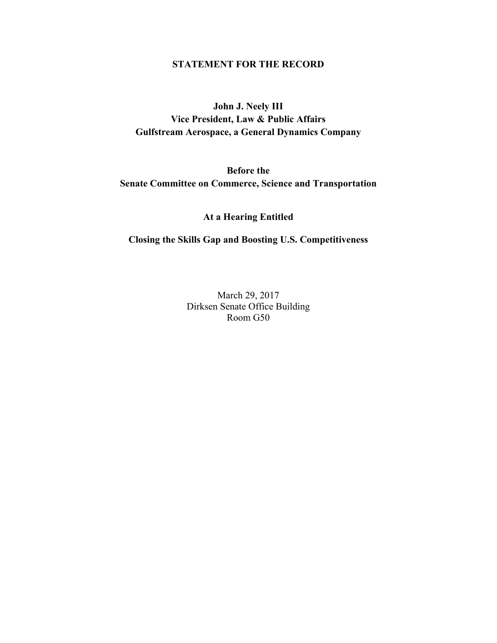### **STATEMENT FOR THE RECORD**

# **John J. Neely III Vice President, Law & Public Affairs Gulfstream Aerospace, a General Dynamics Company**

# **Before the Senate Committee on Commerce, Science and Transportation**

**At a Hearing Entitled** 

### **Closing the Skills Gap and Boosting U.S. Competitiveness**

March 29, 2017 Dirksen Senate Office Building Room G50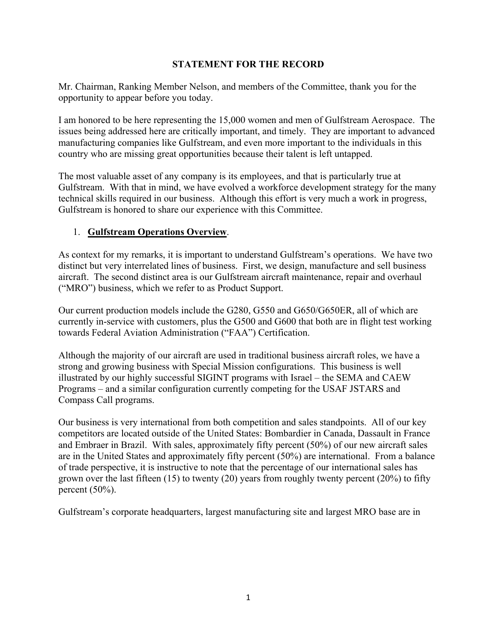## **STATEMENT FOR THE RECORD**

Mr. Chairman, Ranking Member Nelson, and members of the Committee, thank you for the opportunity to appear before you today.

I am honored to be here representing the 15,000 women and men of Gulfstream Aerospace. The issues being addressed here are critically important, and timely. They are important to advanced manufacturing companies like Gulfstream, and even more important to the individuals in this country who are missing great opportunities because their talent is left untapped.

The most valuable asset of any company is its employees, and that is particularly true at Gulfstream. With that in mind, we have evolved a workforce development strategy for the many technical skills required in our business. Although this effort is very much a work in progress, Gulfstream is honored to share our experience with this Committee.

## 1. **Gulfstream Operations Overview**.

As context for my remarks, it is important to understand Gulfstream's operations. We have two distinct but very interrelated lines of business. First, we design, manufacture and sell business aircraft. The second distinct area is our Gulfstream aircraft maintenance, repair and overhaul ("MRO") business, which we refer to as Product Support.

Our current production models include the G280, G550 and G650/G650ER, all of which are currently in-service with customers, plus the G500 and G600 that both are in flight test working towards Federal Aviation Administration ("FAA") Certification.

Although the majority of our aircraft are used in traditional business aircraft roles, we have a strong and growing business with Special Mission configurations. This business is well illustrated by our highly successful SIGINT programs with Israel – the SEMA and CAEW Programs – and a similar configuration currently competing for the USAF JSTARS and Compass Call programs.

Our business is very international from both competition and sales standpoints. All of our key competitors are located outside of the United States: Bombardier in Canada, Dassault in France and Embraer in Brazil. With sales, approximately fifty percent (50%) of our new aircraft sales are in the United States and approximately fifty percent (50%) are international. From a balance of trade perspective, it is instructive to note that the percentage of our international sales has grown over the last fifteen (15) to twenty (20) years from roughly twenty percent (20%) to fifty percent  $(50\%)$ .

Gulfstream's corporate headquarters, largest manufacturing site and largest MRO base are in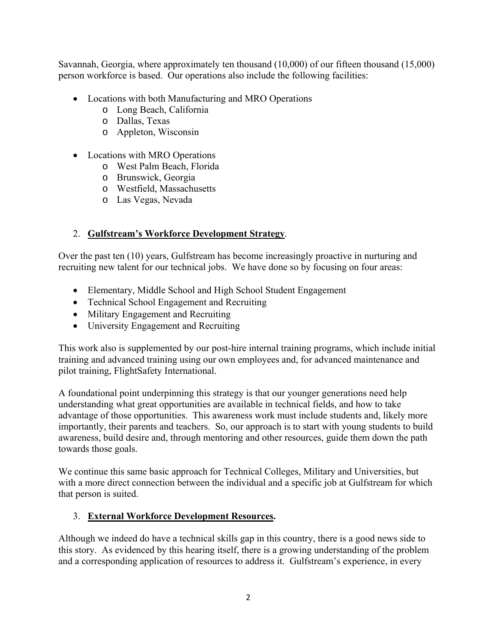Savannah, Georgia, where approximately ten thousand (10,000) of our fifteen thousand (15,000) person workforce is based. Our operations also include the following facilities:

- Locations with both Manufacturing and MRO Operations
	- o Long Beach, California
	- o Dallas, Texas
	- o Appleton, Wisconsin
- Locations with MRO Operations
	- o West Palm Beach, Florida
	- o Brunswick, Georgia
	- o Westfield, Massachusetts
	- o Las Vegas, Nevada

# 2. **Gulfstream's Workforce Development Strategy**.

Over the past ten (10) years, Gulfstream has become increasingly proactive in nurturing and recruiting new talent for our technical jobs. We have done so by focusing on four areas:

- Elementary, Middle School and High School Student Engagement
- Technical School Engagement and Recruiting
- Military Engagement and Recruiting
- University Engagement and Recruiting

This work also is supplemented by our post-hire internal training programs, which include initial training and advanced training using our own employees and, for advanced maintenance and pilot training, FlightSafety International.

A foundational point underpinning this strategy is that our younger generations need help understanding what great opportunities are available in technical fields, and how to take advantage of those opportunities. This awareness work must include students and, likely more importantly, their parents and teachers. So, our approach is to start with young students to build awareness, build desire and, through mentoring and other resources, guide them down the path towards those goals.

We continue this same basic approach for Technical Colleges, Military and Universities, but with a more direct connection between the individual and a specific job at Gulfstream for which that person is suited.

# 3. **External Workforce Development Resources.**

Although we indeed do have a technical skills gap in this country, there is a good news side to this story. As evidenced by this hearing itself, there is a growing understanding of the problem and a corresponding application of resources to address it. Gulfstream's experience, in every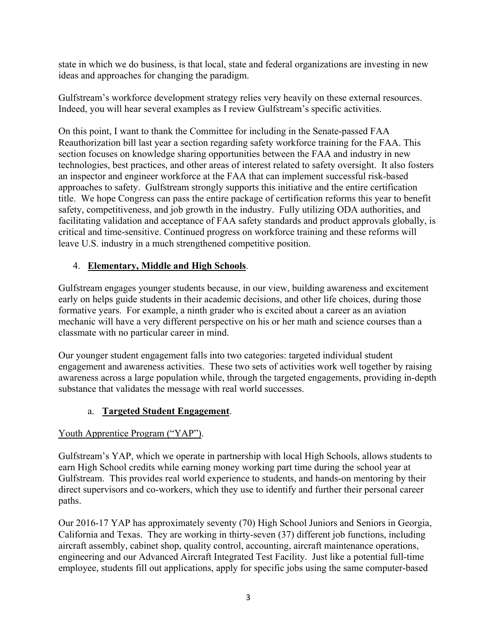state in which we do business, is that local, state and federal organizations are investing in new ideas and approaches for changing the paradigm.

Gulfstream's workforce development strategy relies very heavily on these external resources. Indeed, you will hear several examples as I review Gulfstream's specific activities.

On this point, I want to thank the Committee for including in the Senate-passed FAA Reauthorization bill last year a section regarding safety workforce training for the FAA. This section focuses on knowledge sharing opportunities between the FAA and industry in new technologies, best practices, and other areas of interest related to safety oversight. It also fosters an inspector and engineer workforce at the FAA that can implement successful risk-based approaches to safety. Gulfstream strongly supports this initiative and the entire certification title. We hope Congress can pass the entire package of certification reforms this year to benefit safety, competitiveness, and job growth in the industry. Fully utilizing ODA authorities, and facilitating validation and acceptance of FAA safety standards and product approvals globally, is critical and time-sensitive. Continued progress on workforce training and these reforms will leave U.S. industry in a much strengthened competitive position.

## 4. **Elementary, Middle and High Schools**.

Gulfstream engages younger students because, in our view, building awareness and excitement early on helps guide students in their academic decisions, and other life choices, during those formative years. For example, a ninth grader who is excited about a career as an aviation mechanic will have a very different perspective on his or her math and science courses than a classmate with no particular career in mind.

Our younger student engagement falls into two categories: targeted individual student engagement and awareness activities. These two sets of activities work well together by raising awareness across a large population while, through the targeted engagements, providing in-depth substance that validates the message with real world successes.

## a. **Targeted Student Engagement**.

# Youth Apprentice Program ("YAP").

Gulfstream's YAP, which we operate in partnership with local High Schools, allows students to earn High School credits while earning money working part time during the school year at Gulfstream. This provides real world experience to students, and hands-on mentoring by their direct supervisors and co-workers, which they use to identify and further their personal career paths.

Our 2016-17 YAP has approximately seventy (70) High School Juniors and Seniors in Georgia, California and Texas. They are working in thirty-seven (37) different job functions, including aircraft assembly, cabinet shop, quality control, accounting, aircraft maintenance operations, engineering and our Advanced Aircraft Integrated Test Facility. Just like a potential full-time employee, students fill out applications, apply for specific jobs using the same computer-based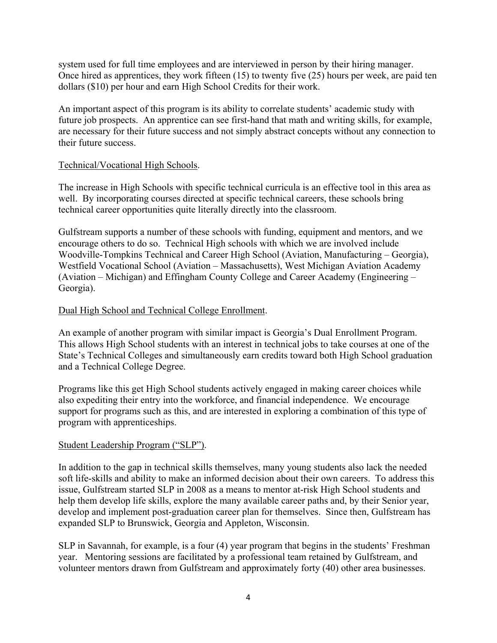system used for full time employees and are interviewed in person by their hiring manager. Once hired as apprentices, they work fifteen (15) to twenty five (25) hours per week, are paid ten dollars (\$10) per hour and earn High School Credits for their work.

An important aspect of this program is its ability to correlate students' academic study with future job prospects. An apprentice can see first-hand that math and writing skills, for example, are necessary for their future success and not simply abstract concepts without any connection to their future success.

### Technical/Vocational High Schools.

The increase in High Schools with specific technical curricula is an effective tool in this area as well. By incorporating courses directed at specific technical careers, these schools bring technical career opportunities quite literally directly into the classroom.

Gulfstream supports a number of these schools with funding, equipment and mentors, and we encourage others to do so. Technical High schools with which we are involved include Woodville-Tompkins Technical and Career High School (Aviation, Manufacturing – Georgia), Westfield Vocational School (Aviation – Massachusetts), West Michigan Aviation Academy (Aviation – Michigan) and Effingham County College and Career Academy (Engineering – Georgia).

## Dual High School and Technical College Enrollment.

An example of another program with similar impact is Georgia's Dual Enrollment Program. This allows High School students with an interest in technical jobs to take courses at one of the State's Technical Colleges and simultaneously earn credits toward both High School graduation and a Technical College Degree.

Programs like this get High School students actively engaged in making career choices while also expediting their entry into the workforce, and financial independence. We encourage support for programs such as this, and are interested in exploring a combination of this type of program with apprenticeships.

#### Student Leadership Program ("SLP").

In addition to the gap in technical skills themselves, many young students also lack the needed soft life-skills and ability to make an informed decision about their own careers. To address this issue, Gulfstream started SLP in 2008 as a means to mentor at-risk High School students and help them develop life skills, explore the many available career paths and, by their Senior year, develop and implement post-graduation career plan for themselves. Since then, Gulfstream has expanded SLP to Brunswick, Georgia and Appleton, Wisconsin.

SLP in Savannah, for example, is a four (4) year program that begins in the students' Freshman year. Mentoring sessions are facilitated by a professional team retained by Gulfstream, and volunteer mentors drawn from Gulfstream and approximately forty (40) other area businesses.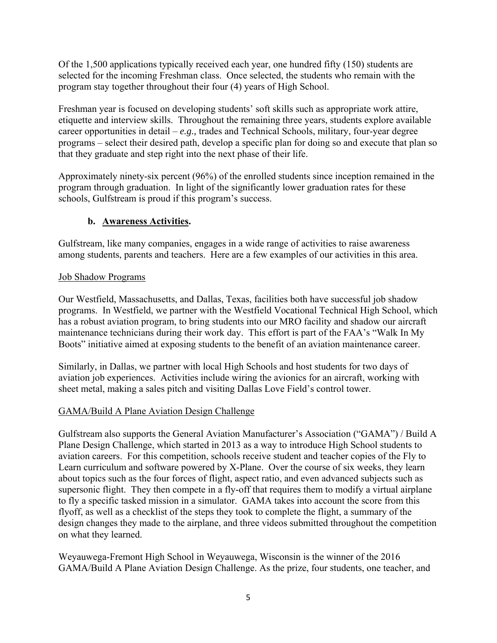Of the 1,500 applications typically received each year, one hundred fifty (150) students are selected for the incoming Freshman class. Once selected, the students who remain with the program stay together throughout their four (4) years of High School.

Freshman year is focused on developing students' soft skills such as appropriate work attire, etiquette and interview skills. Throughout the remaining three years, students explore available career opportunities in detail – *e.g.,* trades and Technical Schools, military, four-year degree programs – select their desired path, develop a specific plan for doing so and execute that plan so that they graduate and step right into the next phase of their life.

Approximately ninety-six percent (96%) of the enrolled students since inception remained in the program through graduation. In light of the significantly lower graduation rates for these schools, Gulfstream is proud if this program's success.

# **b. Awareness Activities.**

Gulfstream, like many companies, engages in a wide range of activities to raise awareness among students, parents and teachers. Here are a few examples of our activities in this area.

## Job Shadow Programs

Our Westfield, Massachusetts, and Dallas, Texas, facilities both have successful job shadow programs. In Westfield, we partner with the Westfield Vocational Technical High School, which has a robust aviation program, to bring students into our MRO facility and shadow our aircraft maintenance technicians during their work day. This effort is part of the FAA's "Walk In My Boots" initiative aimed at exposing students to the benefit of an aviation maintenance career.

Similarly, in Dallas, we partner with local High Schools and host students for two days of aviation job experiences. Activities include wiring the avionics for an aircraft, working with sheet metal, making a sales pitch and visiting Dallas Love Field's control tower.

## GAMA/Build A Plane Aviation Design Challenge

Gulfstream also supports the General Aviation Manufacturer's Association ("GAMA") / Build A Plane Design Challenge, which started in 2013 as a way to introduce High School students to aviation careers. For this competition, schools receive student and teacher copies of the Fly to Learn curriculum and software powered by X-Plane. Over the course of six weeks, they learn about topics such as the four forces of flight, aspect ratio, and even advanced subjects such as supersonic flight. They then compete in a fly-off that requires them to modify a virtual airplane to fly a specific tasked mission in a simulator. GAMA takes into account the score from this flyoff, as well as a checklist of the steps they took to complete the flight, a summary of the design changes they made to the airplane, and three videos submitted throughout the competition on what they learned.

Weyauwega-Fremont High School in Weyauwega, Wisconsin is the winner of the 2016 GAMA/Build A Plane Aviation Design Challenge. As the prize, four students, one teacher, and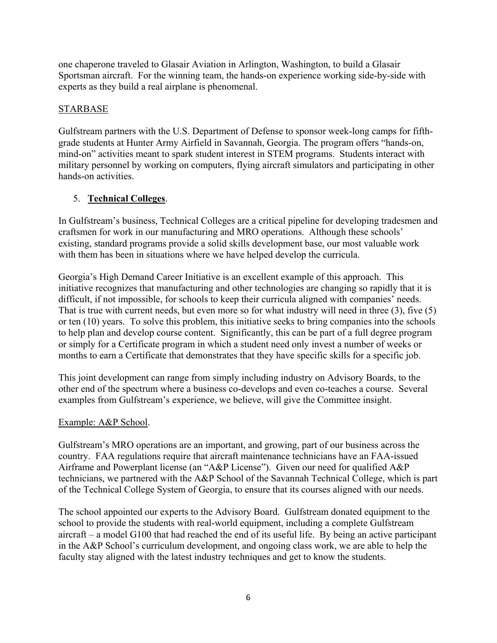one chaperone traveled to Glasair Aviation in Arlington, Washington, to build a Glasair Sportsman aircraft. For the winning team, the hands-on experience working side-by-side with experts as they build a real airplane is phenomenal.

## STARBASE

Gulfstream partners with the U.S. Department of Defense to sponsor week-long camps for fifthgrade students at Hunter Army Airfield in Savannah, Georgia. The program offers "hands-on, mind-on" activities meant to spark student interest in STEM programs. Students interact with military personnel by working on computers, flying aircraft simulators and participating in other hands-on activities.

# 5. **Technical Colleges**.

In Gulfstream's business, Technical Colleges are a critical pipeline for developing tradesmen and craftsmen for work in our manufacturing and MRO operations. Although these schools' existing, standard programs provide a solid skills development base, our most valuable work with them has been in situations where we have helped develop the curricula.

Georgia's High Demand Career Initiative is an excellent example of this approach. This initiative recognizes that manufacturing and other technologies are changing so rapidly that it is difficult, if not impossible, for schools to keep their curricula aligned with companies' needs. That is true with current needs, but even more so for what industry will need in three (3), five (5) or ten (10) years. To solve this problem, this initiative seeks to bring companies into the schools to help plan and develop course content. Significantly, this can be part of a full degree program or simply for a Certificate program in which a student need only invest a number of weeks or months to earn a Certificate that demonstrates that they have specific skills for a specific job.

This joint development can range from simply including industry on Advisory Boards, to the other end of the spectrum where a business co-develops and even co-teaches a course. Several examples from Gulfstream's experience, we believe, will give the Committee insight.

## Example: A&P School.

Gulfstream's MRO operations are an important, and growing, part of our business across the country. FAA regulations require that aircraft maintenance technicians have an FAA-issued Airframe and Powerplant license (an "A&P License"). Given our need for qualified A&P technicians, we partnered with the A&P School of the Savannah Technical College, which is part of the Technical College System of Georgia, to ensure that its courses aligned with our needs.

The school appointed our experts to the Advisory Board. Gulfstream donated equipment to the school to provide the students with real-world equipment, including a complete Gulfstream aircraft – a model G100 that had reached the end of its useful life. By being an active participant in the A&P School's curriculum development, and ongoing class work, we are able to help the faculty stay aligned with the latest industry techniques and get to know the students.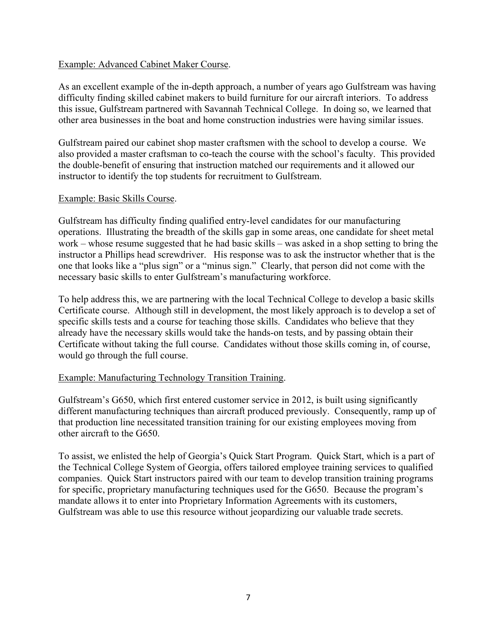#### Example: Advanced Cabinet Maker Course.

As an excellent example of the in-depth approach, a number of years ago Gulfstream was having difficulty finding skilled cabinet makers to build furniture for our aircraft interiors. To address this issue, Gulfstream partnered with Savannah Technical College. In doing so, we learned that other area businesses in the boat and home construction industries were having similar issues.

Gulfstream paired our cabinet shop master craftsmen with the school to develop a course. We also provided a master craftsman to co-teach the course with the school's faculty. This provided the double-benefit of ensuring that instruction matched our requirements and it allowed our instructor to identify the top students for recruitment to Gulfstream.

#### Example: Basic Skills Course.

Gulfstream has difficulty finding qualified entry-level candidates for our manufacturing operations. Illustrating the breadth of the skills gap in some areas, one candidate for sheet metal work – whose resume suggested that he had basic skills – was asked in a shop setting to bring the instructor a Phillips head screwdriver. His response was to ask the instructor whether that is the one that looks like a "plus sign" or a "minus sign." Clearly, that person did not come with the necessary basic skills to enter Gulfstream's manufacturing workforce.

To help address this, we are partnering with the local Technical College to develop a basic skills Certificate course. Although still in development, the most likely approach is to develop a set of specific skills tests and a course for teaching those skills. Candidates who believe that they already have the necessary skills would take the hands-on tests, and by passing obtain their Certificate without taking the full course. Candidates without those skills coming in, of course, would go through the full course.

#### Example: Manufacturing Technology Transition Training.

Gulfstream's G650, which first entered customer service in 2012, is built using significantly different manufacturing techniques than aircraft produced previously. Consequently, ramp up of that production line necessitated transition training for our existing employees moving from other aircraft to the G650.

To assist, we enlisted the help of Georgia's Quick Start Program. Quick Start, which is a part of the Technical College System of Georgia, offers tailored employee training services to qualified companies. Quick Start instructors paired with our team to develop transition training programs for specific, proprietary manufacturing techniques used for the G650. Because the program's mandate allows it to enter into Proprietary Information Agreements with its customers, Gulfstream was able to use this resource without jeopardizing our valuable trade secrets.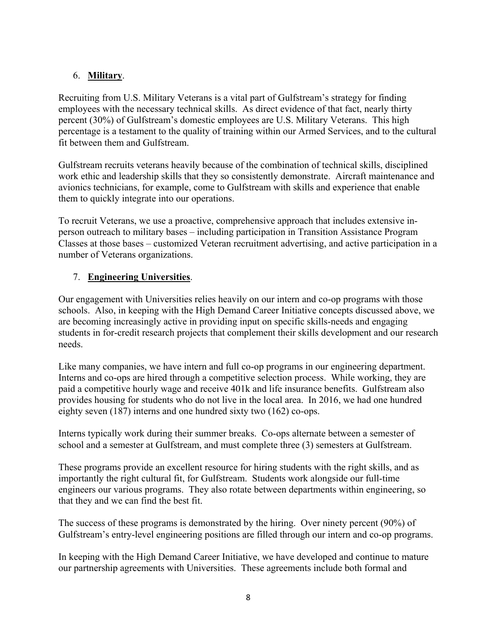## 6. **Military**.

Recruiting from U.S. Military Veterans is a vital part of Gulfstream's strategy for finding employees with the necessary technical skills. As direct evidence of that fact, nearly thirty percent (30%) of Gulfstream's domestic employees are U.S. Military Veterans. This high percentage is a testament to the quality of training within our Armed Services, and to the cultural fit between them and Gulfstream.

Gulfstream recruits veterans heavily because of the combination of technical skills, disciplined work ethic and leadership skills that they so consistently demonstrate. Aircraft maintenance and avionics technicians, for example, come to Gulfstream with skills and experience that enable them to quickly integrate into our operations.

To recruit Veterans, we use a proactive, comprehensive approach that includes extensive inperson outreach to military bases – including participation in Transition Assistance Program Classes at those bases – customized Veteran recruitment advertising, and active participation in a number of Veterans organizations.

## 7. **Engineering Universities**.

Our engagement with Universities relies heavily on our intern and co-op programs with those schools. Also, in keeping with the High Demand Career Initiative concepts discussed above, we are becoming increasingly active in providing input on specific skills-needs and engaging students in for-credit research projects that complement their skills development and our research needs.

Like many companies, we have intern and full co-op programs in our engineering department. Interns and co-ops are hired through a competitive selection process. While working, they are paid a competitive hourly wage and receive 401k and life insurance benefits. Gulfstream also provides housing for students who do not live in the local area. In 2016, we had one hundred eighty seven (187) interns and one hundred sixty two (162) co-ops.

Interns typically work during their summer breaks. Co-ops alternate between a semester of school and a semester at Gulfstream, and must complete three (3) semesters at Gulfstream.

These programs provide an excellent resource for hiring students with the right skills, and as importantly the right cultural fit, for Gulfstream. Students work alongside our full-time engineers our various programs. They also rotate between departments within engineering, so that they and we can find the best fit.

The success of these programs is demonstrated by the hiring. Over ninety percent (90%) of Gulfstream's entry-level engineering positions are filled through our intern and co-op programs.

In keeping with the High Demand Career Initiative, we have developed and continue to mature our partnership agreements with Universities. These agreements include both formal and